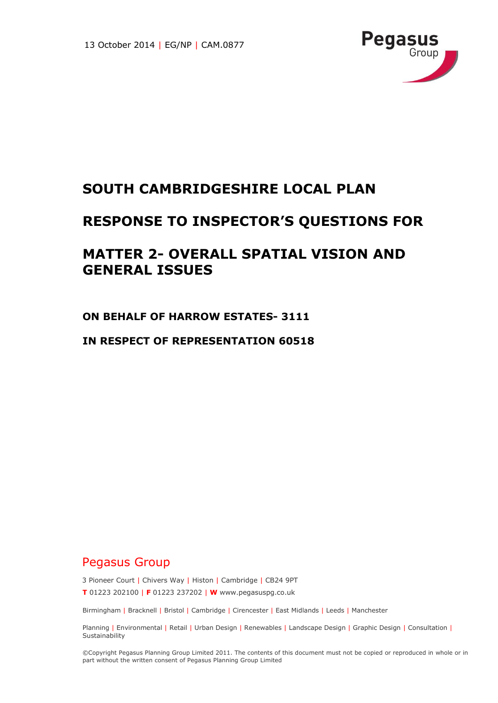

# **SOUTH CAMBRIDGESHIRE LOCAL PLAN**

## **RESPONSE TO INSPECTOR'S QUESTIONS FOR**

# **MATTER 2- OVERALL SPATIAL VISION AND GENERAL ISSUES**

**ON BEHALF OF HARROW ESTATES- 3111**

**IN RESPECT OF REPRESENTATION 60518**

### Pegasus Group

3 Pioneer Court | Chivers Way | Histon | Cambridge | CB24 9PT **T** 01223 202100 | **F** 01223 237202 | **W** www.pegasuspg.co.uk

Birmingham | Bracknell | Bristol | Cambridge | Cirencester | East Midlands | Leeds | Manchester

Planning | Environmental | Retail | Urban Design | Renewables | Landscape Design | Graphic Design | Consultation | **Sustainability** 

©Copyright Pegasus Planning Group Limited 2011. The contents of this document must not be copied or reproduced in whole or in part without the written consent of Pegasus Planning Group Limited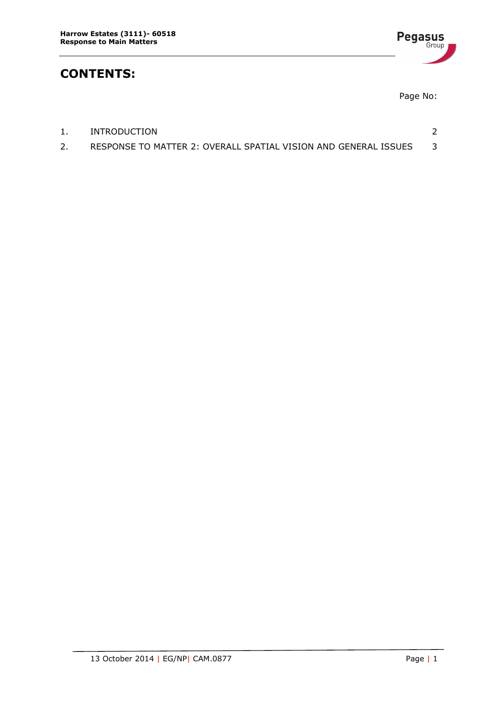

## **CONTENTS:**

Page No:

| INTRODUCTION                                                    |  |
|-----------------------------------------------------------------|--|
| RESPONSE TO MATTER 2: OVERALL SPATIAL VISION AND GENERAL ISSUES |  |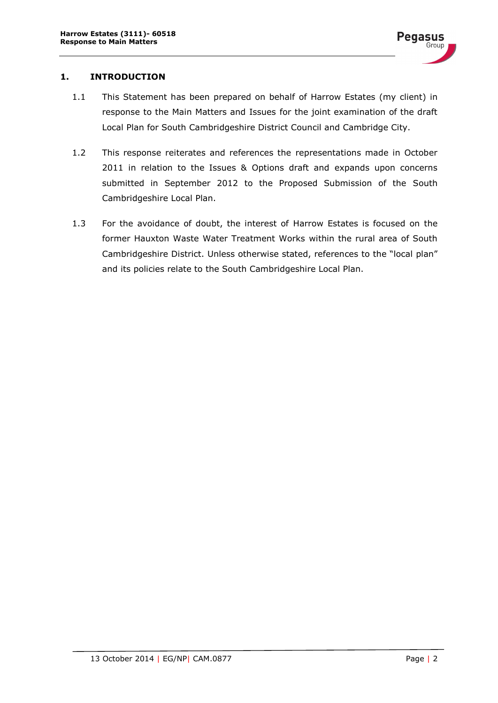#### <span id="page-2-0"></span>**1. INTRODUCTION**

- 1.1 This Statement has been prepared on behalf of Harrow Estates (my client) in response to the Main Matters and Issues for the joint examination of the draft Local Plan for South Cambridgeshire District Council and Cambridge City.
- 1.2 This response reiterates and references the representations made in October 2011 in relation to the Issues & Options draft and expands upon concerns submitted in September 2012 to the Proposed Submission of the South Cambridgeshire Local Plan.
- 1.3 For the avoidance of doubt, the interest of Harrow Estates is focused on the former Hauxton Waste Water Treatment Works within the rural area of South Cambridgeshire District. Unless otherwise stated, references to the "local plan" and its policies relate to the South Cambridgeshire Local Plan.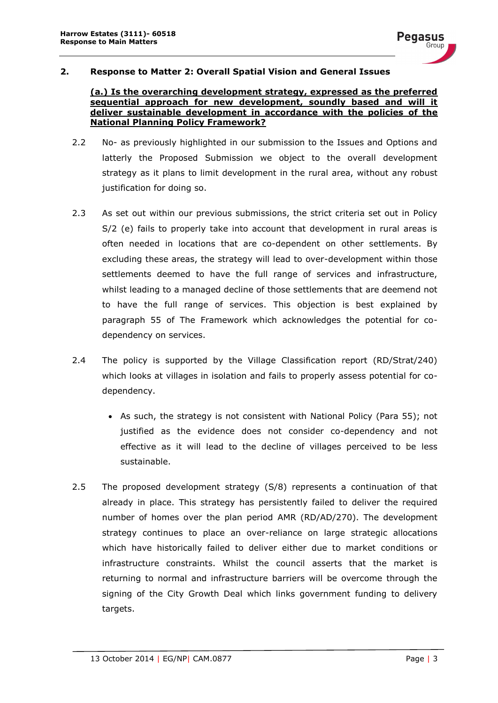

#### <span id="page-3-0"></span>**2. Response to Matter 2: Overall Spatial Vision and General Issues**

#### **(a.) Is the overarching development strategy, expressed as the preferred sequential approach for new development, soundly based and will it deliver sustainable development in accordance with the policies of the National Planning Policy Framework?**

- 2.2 No- as previously highlighted in our submission to the Issues and Options and latterly the Proposed Submission we object to the overall development strategy as it plans to limit development in the rural area, without any robust justification for doing so.
- 2.3 As set out within our previous submissions, the strict criteria set out in Policy S/2 (e) fails to properly take into account that development in rural areas is often needed in locations that are co-dependent on other settlements. By excluding these areas, the strategy will lead to over-development within those settlements deemed to have the full range of services and infrastructure, whilst leading to a managed decline of those settlements that are deemend not to have the full range of services. This objection is best explained by paragraph 55 of The Framework which acknowledges the potential for codependency on services.
- 2.4 The policy is supported by the Village Classification report (RD/Strat/240) which looks at villages in isolation and fails to properly assess potential for codependency.
	- As such, the strategy is not consistent with National Policy (Para 55); not justified as the evidence does not consider co-dependency and not effective as it will lead to the decline of villages perceived to be less sustainable.
- 2.5 The proposed development strategy (S/8) represents a continuation of that already in place. This strategy has persistently failed to deliver the required number of homes over the plan period AMR (RD/AD/270). The development strategy continues to place an over-reliance on large strategic allocations which have historically failed to deliver either due to market conditions or infrastructure constraints. Whilst the council asserts that the market is returning to normal and infrastructure barriers will be overcome through the signing of the City Growth Deal which links government funding to delivery targets.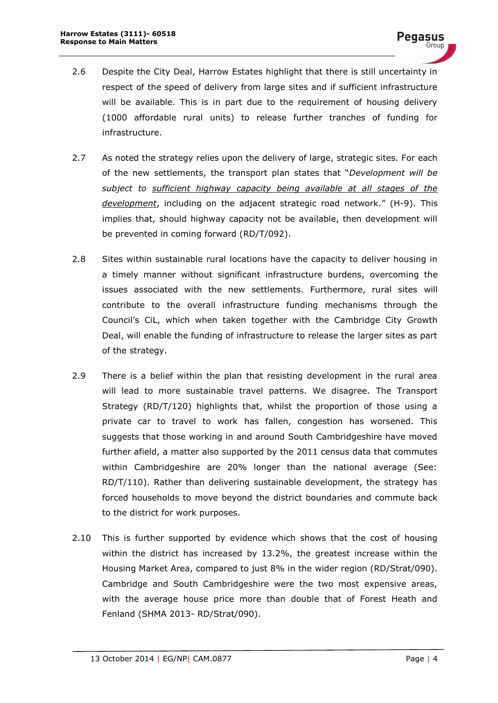- 2.6 Despite the City Deal, Harrow Estates highlight that there is still uncertainty in respect of the speed of delivery from large sites and if sufficient infrastructure will be available. This is in part due to the requirement of housing delivery (1000 affordable rural units) to release further tranches of funding for infrastructure.
- 2.7 As noted the strategy relies upon the delivery of large, strategic sites. For each of the new settlements, the transport plan states that "*Development will be subject to sufficient highway capacity being available at all stages of the development*, including on the adjacent strategic road network." (H-9). This implies that, should highway capacity not be available, then development will be prevented in coming forward (RD/T/092).
- 2.8 Sites within sustainable rural locations have the capacity to deliver housing in a timely manner without significant infrastructure burdens, overcoming the issues associated with the new settlements. Furthermore, rural sites will contribute to the overall infrastructure funding mechanisms through the Council's CiL, which when taken together with the Cambridge City Growth Deal, will enable the funding of infrastructure to release the larger sites as part of the strategy.
- 2.9 There is a belief within the plan that resisting development in the rural area will lead to more sustainable travel patterns. We disagree. The Transport Strategy (RD/T/120) highlights that, whilst the proportion of those using a private car to travel to work has fallen, congestion has worsened. This suggests that those working in and around South Cambridgeshire have moved further afield, a matter also supported by the 2011 census data that commutes within Cambridgeshire are 20% longer than the national average (See: RD/T/110). Rather than delivering sustainable development, the strategy has forced households to move beyond the district boundaries and commute back to the district for work purposes.
- 2.10 This is further supported by evidence which shows that the cost of housing within the district has increased by 13.2%, the greatest increase within the Housing Market Area, compared to just 8% in the wider region (RD/Strat/090). Cambridge and South Cambridgeshire were the two most expensive areas, with the average house price more than double that of Forest Heath and Fenland (SHMA 2013- RD/Strat/090).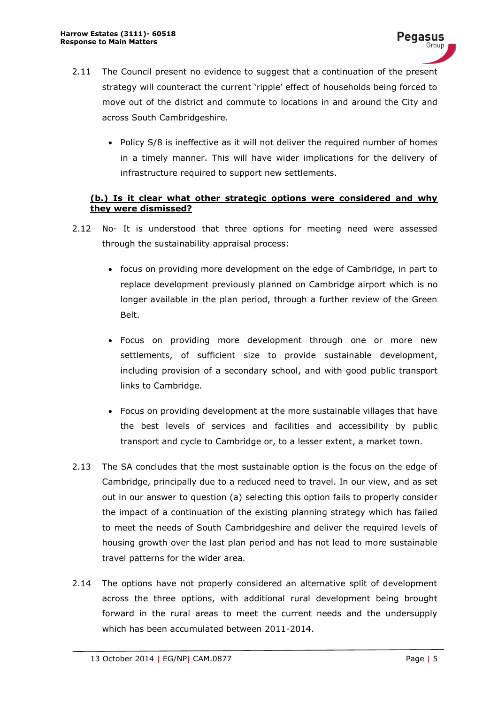- 2.11 The Council present no evidence to suggest that a continuation of the present strategy will counteract the current 'ripple' effect of households being forced to move out of the district and commute to locations in and around the City and across South Cambridgeshire.
	- Policy S/8 is ineffective as it will not deliver the required number of homes in a timely manner. This will have wider implications for the delivery of infrastructure required to support new settlements.

### **(b.) Is it clear what other strategic options were considered and why they were dismissed?**

- 2.12 No- It is understood that three options for meeting need were assessed through the sustainability appraisal process:
	- focus on providing more development on the edge of Cambridge, in part to replace development previously planned on Cambridge airport which is no longer available in the plan period, through a further review of the Green Belt.
	- Focus on providing more development through one or more new settlements, of sufficient size to provide sustainable development, including provision of a secondary school, and with good public transport links to Cambridge.
	- Focus on providing development at the more sustainable villages that have the best levels of services and facilities and accessibility by public transport and cycle to Cambridge or, to a lesser extent, a market town.
- 2.13 The SA concludes that the most sustainable option is the focus on the edge of Cambridge, principally due to a reduced need to travel. In our view, and as set out in our answer to question (a) selecting this option fails to properly consider the impact of a continuation of the existing planning strategy which has failed to meet the needs of South Cambridgeshire and deliver the required levels of housing growth over the last plan period and has not lead to more sustainable travel patterns for the wider area.
- 2.14 The options have not properly considered an alternative split of development across the three options, with additional rural development being brought forward in the rural areas to meet the current needs and the undersupply which has been accumulated between 2011-2014